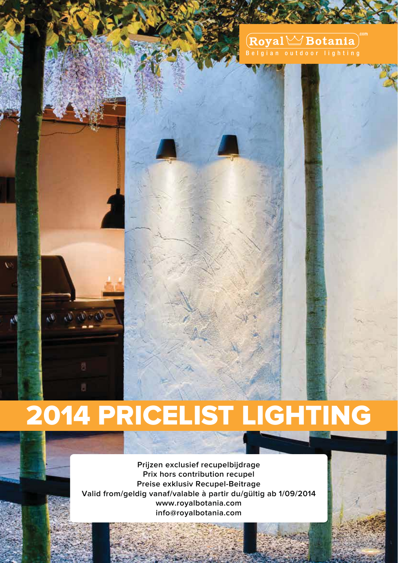#### $(\overline{\textbf{Royal}} \leq \textbf{Botania})^T$ Belgian outdoor lighting

# 2014 PRICELIST LIGHTING

 $x,y,y$ 

**Prijzen exclusief recupelbijdrage Prix hors contribution recupel Preise exklusiv Recupel-Beitrage Valid from/geldig vanaf/valable à partir du/gültig ab 1/09/2014 www.royalbotania.com info@royalbotania.com**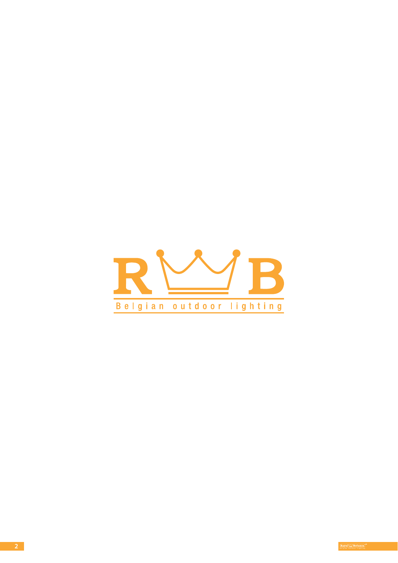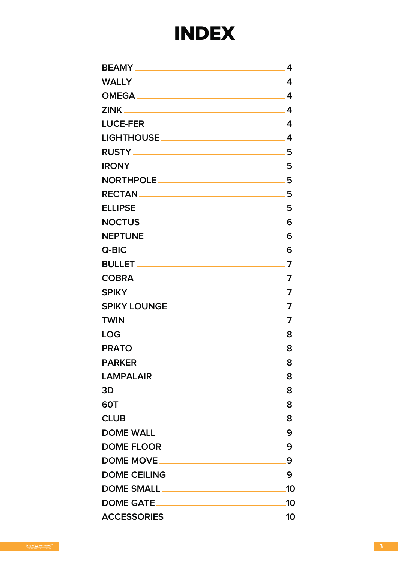## INDEX

| <b>ZINK</b><br><u> 1980 - Johann Barn, mars ann an t-Amhain Aonaich an t-Aonaich an t-Aonaich ann an t-Aonaich ann an t-Aonaich</u><br><u>LUCE-FER _________________________________</u><br>LIGHTHOUSE ____________________________<br>NORTHPOLE ___________________________<br><b>ELLIPSE</b><br><u> 1989 - Johann Stein, mars et al. 1989 - Anna ann an t-Anna ann an t-Anna ann an t-Anna ann an t-Anna ann an t-</u> | 4<br>4<br>4 |
|--------------------------------------------------------------------------------------------------------------------------------------------------------------------------------------------------------------------------------------------------------------------------------------------------------------------------------------------------------------------------------------------------------------------------|-------------|
|                                                                                                                                                                                                                                                                                                                                                                                                                          |             |
|                                                                                                                                                                                                                                                                                                                                                                                                                          |             |
|                                                                                                                                                                                                                                                                                                                                                                                                                          |             |
|                                                                                                                                                                                                                                                                                                                                                                                                                          | 4           |
|                                                                                                                                                                                                                                                                                                                                                                                                                          | 4           |
|                                                                                                                                                                                                                                                                                                                                                                                                                          | 5           |
|                                                                                                                                                                                                                                                                                                                                                                                                                          | 5           |
|                                                                                                                                                                                                                                                                                                                                                                                                                          | 5           |
|                                                                                                                                                                                                                                                                                                                                                                                                                          | 5           |
|                                                                                                                                                                                                                                                                                                                                                                                                                          | 5           |
|                                                                                                                                                                                                                                                                                                                                                                                                                          | 6           |
|                                                                                                                                                                                                                                                                                                                                                                                                                          | 6           |
|                                                                                                                                                                                                                                                                                                                                                                                                                          | 6           |
|                                                                                                                                                                                                                                                                                                                                                                                                                          | .7          |
|                                                                                                                                                                                                                                                                                                                                                                                                                          | 7           |
| <b>SPIKY _______________________________</b>                                                                                                                                                                                                                                                                                                                                                                             | 7           |
|                                                                                                                                                                                                                                                                                                                                                                                                                          | 7           |
| <b>TWIN</b><br><u> 1989 - Johann Barn, mars eta bainar eta bainar eta bainar eta bainarra (h. 1989).</u>                                                                                                                                                                                                                                                                                                                 | 7           |
|                                                                                                                                                                                                                                                                                                                                                                                                                          | 8           |
|                                                                                                                                                                                                                                                                                                                                                                                                                          | 8           |
|                                                                                                                                                                                                                                                                                                                                                                                                                          | 8           |
|                                                                                                                                                                                                                                                                                                                                                                                                                          |             |
| $3D$ $8$                                                                                                                                                                                                                                                                                                                                                                                                                 |             |
|                                                                                                                                                                                                                                                                                                                                                                                                                          |             |
|                                                                                                                                                                                                                                                                                                                                                                                                                          |             |
|                                                                                                                                                                                                                                                                                                                                                                                                                          |             |
|                                                                                                                                                                                                                                                                                                                                                                                                                          | _9          |
|                                                                                                                                                                                                                                                                                                                                                                                                                          | _9          |
| DOME CEILING <u>New York CEILING</u>                                                                                                                                                                                                                                                                                                                                                                                     | 9           |
|                                                                                                                                                                                                                                                                                                                                                                                                                          | <b>.10</b>  |
|                                                                                                                                                                                                                                                                                                                                                                                                                          |             |
|                                                                                                                                                                                                                                                                                                                                                                                                                          | 10          |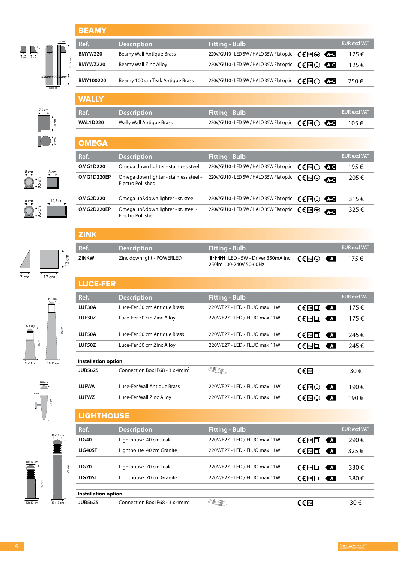| 8 cm | 11 cm<br>8 cm | п                | 13 cm | $30 + 70$ cm |
|------|---------------|------------------|-------|--------------|
|      |               | $12 \times 5$ cm |       |              |

 $\overline{7,5}$  cm  $\int_{0}^{1}$ 

8 cm 8 cm

9,5 cm

9,5 cm

8 cm

6 cm

 $14,5 \text{ cm}$ 

| <b>BEAMY</b>   |                                 |                                          |                                                   |                     |
|----------------|---------------------------------|------------------------------------------|---------------------------------------------------|---------------------|
| Ref.           | <b>Description</b>              | <b>Fitting - Bulb</b>                    |                                                   | <b>EUR excl VAT</b> |
| <b>BMYW220</b> | Beamy Wall Antique Brass        | 220V/GU10 - LED 5W / HALO 35W Flat optic | $\mathsf{C}\mathsf{F}^{\mathsf{m}}\oplus$<br>KAC  | 125€                |
| BMYWZ220       | Beamy Wall Zinc Alloy           | 220V/GU10 - LED 5W / HALO 35W Flat optic | $\mathsf{CE}$ $\mathbb{R}$ $\oplus$<br>KAC        | 125€                |
| BMY100220      | Beamy 100 cm Teak Antique Brass | 220V/GU10 - LED 5W / HALO 35W Flat optic |                                                   |                     |
|                |                                 |                                          | $\mathsf{CE}$ $\mathbb{P}^4 \oplus$<br><b>KAC</b> | 250€                |
| <b>WALLY</b>   |                                 |                                          |                                                   |                     |
| Ref.           | <b>Description</b>              | <b>Fitting - Bulb</b>                    |                                                   | <b>EUR excl VAT</b> |

| <b>WAL1D220</b> | Wally Wall Antique Brass | 220V/GU10 - LED 5W / HALO 35W Flat optic $\mathcal{C} \in \mathbb{F}$ $\mathbb{R}$ $\oplus$ $\mathcal{C}$ $\mathcal{C}$ | 105 € |
|-----------------|--------------------------|-------------------------------------------------------------------------------------------------------------------------|-------|

| <b>OMEGA</b>    |                                                             |                                          |                                                                            |                     |
|-----------------|-------------------------------------------------------------|------------------------------------------|----------------------------------------------------------------------------|---------------------|
| Ref.            | <b>Description</b>                                          | <b>Fitting - Bulb</b>                    |                                                                            | <b>EUR excl VAT</b> |
| <b>OMG1D220</b> | Omega down lighter - stainless steel                        | 220V/GU10 - LED 5W / HALO 35W Flat optic | KAC<br>$\mathsf{C} \in \mathsf{P}^{\mathsf{rsl}}(\oplus)$                  | 195€                |
| OMG1D220EP      | Omega down lighter - stainless steel -<br>Electro Pollished | 220V/GU10 - LED 5W / HALO 35W Flat optic | $\mathsf{C}\mathsf{F}$ less $\oplus$<br><b>ALC</b>                         | 205 €               |
|                 |                                                             |                                          |                                                                            |                     |
| <b>OMG2D220</b> | Omega up&down lighter - st. steel                           | 220V/GU10 - LED 5W / HALO 35W Flat optic | $\mathsf{C}\mathsf{F}$ less $\mathsf{F}$<br>KAC                            | $315 \in$           |
| OMG2D220EP      | Omega up&down lighter - st. steel -<br>Electro Pollished    | 220V/GU10 - LED 5W / HALO 35W Flat optic | $\mathsf{C} \in \mathsf{P}^{\mathsf{ss}} \oplus \mathsf{C}$<br><b>A</b> -C | 325€                |

|      |       | $\mathsf g$ |
|------|-------|-------------|
|      |       |             |
| 7 cm | 12 cm |             |



Ø 8 cm

6 cm

 $\mathbb{I}$ 

31 cm

| <b>ZINK</b>  |                           |                                                                                                                                      |  |                     |
|--------------|---------------------------|--------------------------------------------------------------------------------------------------------------------------------------|--|---------------------|
| Ref.         | <b>Description</b>        | <b>Fitting - Bulb</b>                                                                                                                |  | <b>EUR excl VAT</b> |
| <b>ZINKW</b> | Zinc downlight - POWERLED | <b>Millian LED</b> - 5W - Driver 350mA incl $\mathbf{C} \in \mathbb{P}$ $\mathbb{F}$ $\oplus$ $\mathbf{A}$<br>250lm 100-240V 50-60Hz |  | 175€                |
| LUCE-FER     |                           |                                                                                                                                      |  |                     |

| Ref.                       | <b>Description</b>                         | <b>Fitting - Bulb</b>         |                                                                                          | <b>EUR excl VAT</b> |  |  |
|----------------------------|--------------------------------------------|-------------------------------|------------------------------------------------------------------------------------------|---------------------|--|--|
| LUF30A                     | Luce-Fer 30 cm Antique Brass               | 220V/E27 - LED / FLUO max 11W | $C \in$ $P^{55}$ $\Box$<br>K A                                                           | 175€                |  |  |
| LUF30Z                     | Luce-Fer 30 cm Zinc Alloy                  | 220V/E27 - LED / FLUO max 11W | $\Lambda$<br>$C \in \mathbb{P}$ $\Box$                                                   | 175€                |  |  |
| LUF50A                     | Luce-Fer 50 cm Antique Brass               | 220V/E27 - LED / FLUO max 11W | $C \in \mathbb{P}$ $\Box$<br>$\overline{A}$                                              | 245€                |  |  |
| LUF50Z                     | Luce-Fer 50 cm Zinc Alloy                  | 220V/E27 - LED / FLUO max 11W | $C \in \mathbb{P}$ <sub>IPSS</sub> $\Box$<br>$\overline{A}$                              | 245€                |  |  |
| <b>Installation option</b> |                                            |                               |                                                                                          |                     |  |  |
| <b>JUB5625</b>             | Connection Box IP68 - 3 x 4mm <sup>2</sup> |                               | $C \in \mathbb{F}$                                                                       | 30€                 |  |  |
| <b>LUFWA</b>               | Luce-Fer Wall Antique Brass                | 220V/E27 - LED / FLUO max 11W | $\mathsf{C}\mathsf{F}$ less $\oplus$<br><b>A</b>                                         | 190€                |  |  |
| <b>LUFWZ</b>               | Luce-Fer Wall Zinc Alloy                   | 220V/E27 - LED / FLUO max 11W | $\mathbf{A}$<br>$\mathsf{C}\mathsf{E}$ less $\left(\frac{\mathsf{L}}{\mathsf{L}}\right)$ | 190€                |  |  |
|                            |                                            |                               |                                                                                          |                     |  |  |

### 10x10 cm 10x10 cm 40 cm 70 cm

13x13 cm

| <b>LIGHTHOUSE</b>          |                                                    |                               |                                                  |                     |  |  |  |
|----------------------------|----------------------------------------------------|-------------------------------|--------------------------------------------------|---------------------|--|--|--|
| Ref.                       | <b>Description</b>                                 | <b>Fitting - Bulb</b>         |                                                  | <b>EUR excl VAT</b> |  |  |  |
| <b>LIG40</b>               | Lighthouse 40 cm Teak                              | 220V/E27 - LED / FLUO max 11W | $\overline{A}$<br>$C \in$ $ $ rss $ $ $  \Box  $ | 290€                |  |  |  |
| LIG40ST                    | Lighthouse 40 cm Granite                           | 220V/E27 - LED / FLUO max 11W | $\Delta$<br>$C \in \left[ \frac{p}{2} \right]$   | 325€                |  |  |  |
| <b>LIG70</b>               | Lighthouse 70 cm Teak                              | 220V/E27 - LED / FLUO max 11W | $\Delta$<br>$C \in$ $ P^{55} $ $ C $             | 330€                |  |  |  |
| LIG70ST                    | Lighthouse 70 cm Granite                           | 220V/E27 - LED / FLUO max 11W | $\Delta$<br>$\mathsf{C}\in\mathsf{P^{155} \Box}$ | 380€                |  |  |  |
| <b>Installation option</b> |                                                    |                               |                                                  |                     |  |  |  |
| JUB5625                    | Connection Box IP68 - $3 \times 4$ mm <sup>2</sup> |                               | $\epsilon$ F IP68                                | 30€                 |  |  |  |

13x13 cm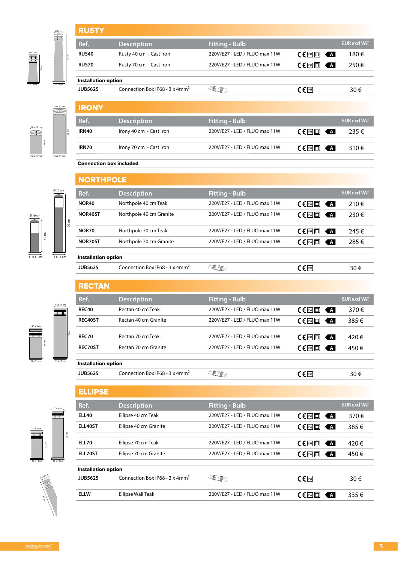|       | <b>RUSTY</b>               |                                            |                               |                                                                |                     |
|-------|----------------------------|--------------------------------------------|-------------------------------|----------------------------------------------------------------|---------------------|
|       | Ref.                       | <b>Description</b>                         | <b>Fitting - Bulb</b>         |                                                                | <b>EUR excl VAT</b> |
| 70cm  | <b>RUS40</b>               | Rusty 40 cm - Cast Iron                    | 220V/E27 - LED / FLUO max 11W | $C \in \mathbb{P}$ $\mathbb{E}$ $\mathbb{E}$<br>KA             | 180€                |
|       | <b>RUS70</b>               | Rusty 70 cm - Cast Iron                    | 220V/E27 - LED / FLUO max 11W | $\epsilon$   $\epsilon$   $\epsilon$   $\epsilon$   $\epsilon$ | 250€                |
|       | <b>Installation option</b> |                                            |                               |                                                                |                     |
|       | <b>JUB5625</b>             | Connection Box IP68 - 3 x 4mm <sup>2</sup> |                               | $C \in \mathbb{P}$ 68                                          | 30€                 |
|       | <b>IRONY</b>               |                                            |                               |                                                                |                     |
|       | Ref.                       | <b>Description</b>                         | <b>Fitting - Bulb</b>         |                                                                | <b>EUR excl VAT</b> |
| 70 cm | <b>IRN40</b>               | Irony 40 cm - Cast Iron                    | 220V/E27 - LED / FLUO max 11W | A                                                              | 235€                |

**IRN70** Irony 70 cm - Cast Iron 220V/E27 - LED / FLUO max 11W  $\left(\begin{array}{cc} \in \mathbb{R} & \text{if } 310 \in \end{array}\right)$ 

**Ref. Description EUR EUR EUR EUR EUR EUR EUR EUR EUR EUR EUR EUR EUR NOR40** Northpole 40 cm Teak 220V/E27 - LED / FLUO max 11W  $\text{CE} \Box \ \ \text{A}$  210  $\in$ **NOR40ST** Northpole 40 cm Granite 220V/E27 - LED / FLUO max 11W  $\left( \begin{array}{cc} \in \mathbb{R} \mathbb{Z} \\ \in \mathbb{R} \end{array} \right)$  230 €

**NOR70** Northpole 70 cm Teak 220V/E27 - LED / FLUO max 11W **IP55** 245 € **NOR70ST** Northpole 70 cm Granite 220V/E27 - LED / FLUO max 11W  $\text{CE}$   $\text{F}$   $\text{F}$   $\text{F}$   $\text{F}$  285  $\in$ 

#### Connection box included

**NORTHPOLE** 

Installation option



10 x 20 cm 10 x 20 cm

40 cm

 $\frac{5}{\sqrt{219 \text{ cm}}}$ 

Ø 13 cm

10 x 20 cm

**The Contract** 

Ø 13 cm

10 x 20 cm



|                                                           |       | <b>JUB5625</b>             | Connection Box IP68 - 3 x 4mm <sup>2</sup> | <b>ELRE</b>                       | $C \in \mathbb{P}$ 68                       | 30€                 |
|-----------------------------------------------------------|-------|----------------------------|--------------------------------------------|-----------------------------------|---------------------------------------------|---------------------|
|                                                           |       |                            |                                            |                                   |                                             |                     |
|                                                           |       | <b>RECTAN</b>              |                                            |                                   |                                             |                     |
|                                                           |       | Ref.                       | <b>Description</b>                         | <b>Fitting - Bulb</b>             |                                             | <b>EUR excl VAT</b> |
| 14,5 x 9 cm                                               |       | <b>REC40</b>               | Rectan 40 cm Teak                          | 220V/E27 - LED / FLUO max 11W     | $C \in \mathbb{P}$ $\Box$<br>$\Delta$       | 370€                |
|                                                           |       | REC40ST                    | Rectan 40 cm Granite                       | 220V/E27 - LED / FLUO max 11W     | $C \in \mathbb{P}$ $\Box$<br>$\blacksquare$ | 385€                |
|                                                           |       |                            |                                            |                                   |                                             |                     |
|                                                           |       | <b>REC70</b>               | Rectan 70 cm Teak                          | 220V/E27 - LED / FLUO max 11W     | $C \in \mathbb{R}$ $\Box$<br>$\blacksquare$ | 420€                |
|                                                           |       | REC70ST                    | Rectan 70 cm Granite                       | 220V/E27 - LED / FLUO max 11W     | C∈□<br>$\blacksquare$                       | 450€                |
| $\frac{19 \times 11 \text{ cm}}{25 \times 11 \text{ cm}}$ |       |                            |                                            |                                   |                                             |                     |
|                                                           |       | <b>Installation option</b> |                                            |                                   |                                             |                     |
|                                                           |       | <b>JUB5625</b>             | Connection Box IP68 - 3 x 4mm <sup>2</sup> | <b>ELEC</b>                       | $C \in \mathbb{P}$ 68                       | 30€                 |
|                                                           |       |                            |                                            |                                   |                                             |                     |
|                                                           |       | <b>ELLIPSE</b>             |                                            |                                   |                                             |                     |
| 'x 9 cm                                                   |       | Ref.                       | <b>Description</b>                         | <b>Fitting - Bulb</b>             |                                             | <b>EUR excl VAT</b> |
|                                                           |       | <b>ELL40</b>               | Ellipse 40 cm Teak                         | 220V/E27 - LED / FLUO max 11W     | $C \in \mathbb{R}$ $\Box$<br>$\blacksquare$ | 370€                |
|                                                           |       | ELL40ST                    | Ellipse 40 cm Granite                      | 220V/E27 - LED / FLUO max 11W     | $C \in \mathbb{P}$ $\Box$<br>$\blacksquare$ | 385€                |
|                                                           | 70 cm |                            |                                            |                                   |                                             |                     |
|                                                           |       | <b>ELL 70</b>              | Ellince 70 cm Tools                        | $2200/(E27 - E5 / E110)$ may 11 M | $\overline{\phantom{a}}$<br>- 1             | 120c                |



18 x 10 cm 18 x 10 cm

40 cm

17 x 9 cm

t

17 x 9 cm

Ħ

| Kef.                       | <b>Description</b>                         | Fitting - Bulb                |                                                             | EUK exci VAT |
|----------------------------|--------------------------------------------|-------------------------------|-------------------------------------------------------------|--------------|
| <b>ELL40</b>               | Ellipse 40 cm Teak                         | 220V/E27 - LED / FLUO max 11W | $C \in \mathbb{R}$ $\Box$<br>KA                             | 370€         |
| ELL40ST                    | Ellipse 40 cm Granite                      | 220V/E27 - LED / FLUO max 11W | $\mathsf{C}\in\mathsf{P}^{\mathsf{ss}}\square$<br>KA        | 385€         |
|                            |                                            |                               |                                                             |              |
| <b>ELL70</b>               | Ellipse 70 cm Teak                         | 220V/E27 - LED / FLUO max 11W | $C \in \mathbb{P}^{ss}$<br>KA                               | 420€         |
| ELL70ST                    | Ellipse 70 cm Granite                      | 220V/E27 - LED / FLUO max 11W | $\mathsf{C}\in\mathsf{P}^{\mathsf{ss}}\square$<br><b>KA</b> | 450€         |
|                            |                                            |                               |                                                             |              |
| <b>Installation option</b> |                                            |                               |                                                             |              |
| <b>JUB5625</b>             | Connection Box IP68 - 3 x 4mm <sup>2</sup> | <b>ELECT</b>                  | $C \in \mathbb{F}$                                          | 30€          |
|                            |                                            |                               |                                                             |              |
| <b>ELLW</b>                | Ellipse Wall Teak                          | 220V/E27 - LED / FLUO max 11W | $C \in$ $ $ rss $  \Box$<br>KA                              | 335€         |
|                            |                                            |                               |                                                             |              |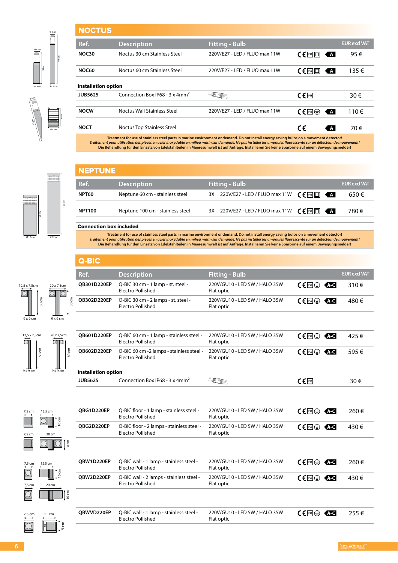| <b>NOCTUS</b>              |                                            |                               |                                             |                     |
|----------------------------|--------------------------------------------|-------------------------------|---------------------------------------------|---------------------|
| Ref.                       | <b>Description</b>                         | <b>Fitting - Bulb</b>         |                                             | <b>EUR excl VAT</b> |
| NOC30                      | Noctus 30 cm Stainless Steel               | 220V/E27 - LED / FLUO max 11W | $C \in$ $ $ rss $  \Box  $<br>K A I         | 95€                 |
| <b>NOC60</b>               | Noctus 60 cm Stainless Steel               | 220V/E27 - LED / FLUO max 11W | $C \in \mathbb{P}$ $\Box$<br>$\overline{A}$ | 135€                |
| <b>Installation option</b> |                                            |                               |                                             |                     |
| <b>JUB5625</b>             | Connection Box IP68 - 3 x 4mm <sup>2</sup> |                               | $C \in \mathbb{P}$ <sup>68</sup>            | 30€                 |
| <b>NOCW</b>                | Noctus Wall Stainless Steel                | 220V/E27 - LED / FLUO max 11W | $C \in \mathbb{R}$<br><b>KA</b>             | 110€                |
| <b>NOCT</b>                | <b>Noctus Top Stainless Steel</b>          |                               | C€<br>$\overline{A}$                        | 70€                 |

**Die Behandlung für den Einsatz von Edelstahlteilen in Meeresumwelt ist auf Anfrage. Installieren Sie keine Sparbirne auf einem Bewegungsmelder!**

## Ø 17 cm 60 cm Ø 17 cm

9 x 9 cm 9 x 9 cm

Ø 8 cm

10 cm

30 cm

Ø 6 cm

60 cm

Ø 6 cm

Ø 6 cm

45 cm

100 cm

30 cm

 $9 \times 9$  cm

30 cm

 $9 \times 9$  cm

12,5 x 7,5cm

Ō.

20 x 7.5cm

Ō.

| NEPTUNE       |                                  |                                                                                                                             |                     |
|---------------|----------------------------------|-----------------------------------------------------------------------------------------------------------------------------|---------------------|
| Ref.          | <b>Description</b>               | <b>Fitting - Bulb</b>                                                                                                       | <b>EUR excl VAT</b> |
| NPT60         | Neptune 60 cm - stainless steel  | 3X 220V/E27 - LED / FLUO max 11W $\left( \begin{array}{ccc} \bullet & \bullet \\ \bullet & \bullet \end{array} \right)$     | 650€                |
| <b>NPT100</b> | Neptune 100 cm - stainless steel | 3X 220V/E27 - LED / FLUO max 11W $\left( \begin{array}{ccc} \epsilon & \epsilon \\ \epsilon & \epsilon \end{array} \right)$ | 780€                |
|               |                                  |                                                                                                                             |                     |

#### Connection box included

Treatment for use of stainless steel parts in marine environment or demand. Do not install energy saving bulbs on a movement detector!<br>Traitement pour utilisation des pièces en acier inoxydable en milieu marin sur demande. **Die Behandlung für den Einsatz von Edelstahlteilen in Meeresumwelt ist auf Anfrage. Installieren Sie keine Sparbirne auf einem Bewegungsmelder!**

#### Q-BIC

| Ref.        | <b>Description</b>                                       | <b>Fitting - Bulb</b>                       |                                   | <b>EUR excl VAT</b> |
|-------------|----------------------------------------------------------|---------------------------------------------|-----------------------------------|---------------------|
| QB301D220EP | Q-BIC 30 cm - 1 lamp - st. steel -<br>Electro Pollished  | 220V/GU10 - LED 5W / HALO 35W<br>Flat optic | $CE^{ms} \oplus \overline{AC}$    | 310 $\epsilon$      |
| OB302D220EP | Q-BIC 30 cm - 2 lamps - st. steel -<br>Electro Pollished | 220V/GU10 - LED 5W / HALO 35W<br>Flat optic | $CF^{\text{BS}} \oplus \text{AC}$ | 480€                |

|                                        |                                  | <b>JUB5625</b>             | Connection Box IP68 - 3 x 4mm <sup>2</sup>                    | <b>JURE</b>                                 | $\epsilon$ (Fires)                         | 30€  |
|----------------------------------------|----------------------------------|----------------------------|---------------------------------------------------------------|---------------------------------------------|--------------------------------------------|------|
| 9x9cm                                  | $9 \times 9$ cm                  | <b>Installation option</b> |                                                               |                                             |                                            |      |
| ξ<br>SO                                | ξ<br>$\overline{60}$             | OB602D220EP                | Q-BIC 60 cm -2 lamps - stainless steel -<br>Electro Pollished | 220V/GU10 - LED 5W / HALO 35W<br>Flat optic | $\mathsf{CE}$ less $\oplus$<br>KA-C        | 595€ |
| $12.5 \times 7.5$ cm<br>$\circ$ $\Box$ | 20 x 7,5cm<br>$\circ$ to $\cdot$ | OB601D220EP                | Q-BIC 60 cm - 1 lamp - stainless steel -<br>Electro Pollished | 220V/GU10 - LED 5W / HALO 35W<br>Flat optic | $\mathsf{CE}$ less $\oplus$<br><b>KA-C</b> | 425€ |
|                                        |                                  |                            |                                                               |                                             |                                            |      |

| 7,5 cm                     | 12,5 cm                           | OBG1D220EP | Q-BIC floor - 1 lamp - stainless steel -<br>Electro Pollished       | 220V/GU10 - LED 5W / HALO 35W<br>Flat optic | $CE^{ms}$<br><b>AKC</b>  | 260€ |
|----------------------------|-----------------------------------|------------|---------------------------------------------------------------------|---------------------------------------------|--------------------------|------|
| 7,5 cm                     | $\int_{0}^{x}$<br>20 cm           | OBG2D220EP | Q-BIC floor - 2 lamps - stainless steel -<br>Electro Pollished      | 220V/GU10 - LED 5W / HALO 35W<br>Flat optic | $CE^{ms}$<br><b>ALC</b>  | 430€ |
|                            | $rac{1}{2}$                       |            |                                                                     |                                             |                          |      |
| 7,5 cm                     | 12,5 cm                           | OBW1D220EP | Q-BIC wall - 1 lamp - stainless steel -<br>Electro Pollished        | 220V/GU10 - LED 5W / HALO 35W<br>Flat optic | C€⊕<br>KA C              | 260€ |
| $\sum_{i=1}^{n}$<br>7,5 cm | ļ≘<br>20 cm                       | OBW2D220EP | Q-BIC wall - 2 lamps - stainless steel -<br>Electro Pollished       | 220V/GU10 - LED 5W / HALO 35W<br>Flat optic | $CE^{psg}$<br><b>A</b> C | 430€ |
| $\Xi$                      | $10 \text{ cm}$                   |            |                                                                     |                                             |                          |      |
| 7,5 cm<br><u>ilico</u>     | $11 \text{ cm}$<br>$9 \text{ cm}$ | OBWVD220EP | Q-BIC wall - 1 lamp - stainless steel -<br><b>Electro Pollished</b> | 220V/GU10 - LED 5W / HALO 35W<br>Flat optic | $CE^{pss}$<br><b>KAC</b> | 255€ |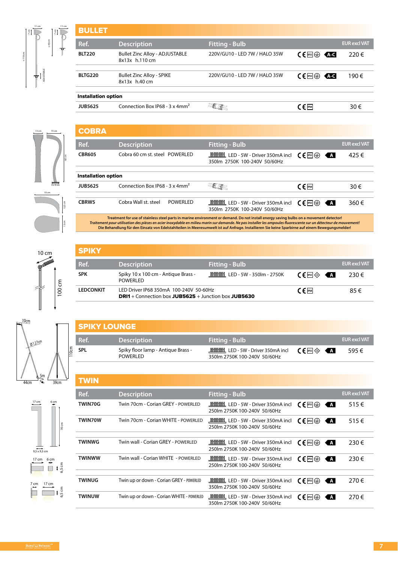| <b>BULLET</b>              |                                                         |                               |                                |                     |  |  |
|----------------------------|---------------------------------------------------------|-------------------------------|--------------------------------|---------------------|--|--|
| Ref.                       | <b>Description</b>                                      | <b>Fitting - Bulb</b>         |                                | <b>EUR excl VAT</b> |  |  |
| <b>BLT220</b>              | <b>Bullet Zinc Alloy - ADJUSTABLE</b><br>8x13x h.110 cm | 220V/GU10 - LED 7W / HALO 35W | $CE^{ps} \oplus \overline{AC}$ | 220€                |  |  |
| <b>BLTG220</b>             | <b>Bullet Zinc Alloy - SPIKE</b><br>8x13x h.40 cm       | 220V/GU10 - LED 7W / HALO 35W | $CE$ $\rightarrow$ $CE$        | 190€                |  |  |
| <b>Installation option</b> |                                                         |                               |                                |                     |  |  |
| <b>JUB5625</b>             | Connection Box IP68 - 3 x 4mm <sup>2</sup>              |                               | $\epsilon$ (P68                | 30€                 |  |  |
|                            |                                                         |                               |                                |                     |  |  |



± 110 cm

11 cm  $\overline{\mathbb{R}}$ 

ADJUSTABLE

± 40 cm

13 cm

| <b>COBRA</b>               |                                                    |           |                                                                    |                                             |                     |
|----------------------------|----------------------------------------------------|-----------|--------------------------------------------------------------------|---------------------------------------------|---------------------|
| Ref.                       | <b>Description</b>                                 |           | <b>Fitting - Bulb</b>                                              |                                             | <b>EUR excl VAT</b> |
| <b>CBR605</b>              | Cobra 60 cm st. steel POWERLED                     |           | الشار LED - 5W - Driver 350mA incl<br>350lm 2750K 100-240V 50/60Hz | $C \in$ $  \text{PSS}   (\frac{L}{2})$<br>A | 425€                |
| <b>Installation option</b> |                                                    |           |                                                                    |                                             |                     |
| JUB5625                    | Connection Box IP68 - $3 \times 4$ mm <sup>2</sup> |           |                                                                    | $\epsilon$ (Fip68                           | 30€                 |
|                            |                                                    |           |                                                                    |                                             |                     |
| CBRW <sub>5</sub>          | Cobra Wall st. steel                               | POWERI ED | 350lm 2750K 100-240V 50/60Hz                                       | $\mathsf{CE}$ less $\oplus$<br>ζA.          | 360€                |

100 cm 10 cm

SPIKY LOUNGE

**SPL** Spiky floor lamp - Antique Brass - **POWERLED** 

| <b>SPIKY</b>     |                                                                                                  |                                                        |                              |                     |
|------------------|--------------------------------------------------------------------------------------------------|--------------------------------------------------------|------------------------------|---------------------|
| Ref.             | <b>Description</b>                                                                               | <b>Fitting - Bulb</b>                                  |                              | <b>EUR excl VAT</b> |
| <b>SPK</b>       | Spiky 10 x 100 cm - Antique Brass -<br>POWERI ED                                                 | <b>_IIIIIIIIIIIIIIII</b> IIII LED - 5W - 350lm - 2750K | $CF$ ipss $\oplus$ $\bullet$ | 230 €               |
| <b>LEDCONKIT</b> | LED Driver IP68 350mA 100-240V 50-60Hz<br>$DR11 +$ Connection box JUB5625 + Junction box JUB5630 |                                                        | $\epsilon$ (Fires)           | 85€                 |

**Ref. Description <b>EUR EUR EUR EUR EUR EUR EUR EUR EUR EUR EUR EUR EUR EUR EUR EUR EUR EUR** 

LED - 5W - Driver 350mA incl 350lm 2750K 100-240V 50/60Hz

**IP5**<sup>s</sup> **Ext** 595 €



 $9,5 \times 9,5$  cm

17 cm 6 cm

7 cm 17 cm

70 cm

110cm

6,5 cm

6,5 cm

| <b>TWIN</b>    |                                           |                                                                                            |                                                         |                     |
|----------------|-------------------------------------------|--------------------------------------------------------------------------------------------|---------------------------------------------------------|---------------------|
| Ref.           | <b>Description</b>                        | <b>Fitting - Bulb</b>                                                                      |                                                         | <b>EUR excl VAT</b> |
| TWIN70G        | Twin 70cm - Corian GREY - POWERLED        | السلسلة LED - 5W - Driver 350mA incl<br>250lm 2750K 100-240V 50/60Hz                       | $\mathsf{C}\mathsf{F}$ (FSI)<br>K A I                   | 515€                |
| <b>TWIN70W</b> | Twin 70cm - Corian WHITE - POWERLED       | 250lm 2750K 100-240V 50/60Hz                                                               | $\mathsf{C}\mathsf{F}$ less $\circledast$<br>$\vert$ A  | 515€                |
| <b>TWINWG</b>  | Twin wall - Corian GRFY - POWERLED        | <b>ILILIANIEL</b> , LED - 5W - Driver 350mA incl<br>250lm 2750K 100-240V 50/60Hz           | $\mathsf{C}\in\mathsf{PFS}(\oplus)$<br>KA               | 230€                |
| <b>TWINWW</b>  | Twin wall - Corian WHITE - POWERLED       | 250lm 2750K 100-240V 50/60Hz                                                               | $C \in \mathbb{F}^{ss}(\oplus)$<br>K A I                | 230€                |
| <b>TWINUG</b>  | Twin up or down - Corian GREY - POWERLED  | Lillillillillillillillillilli LED - 5W - Driver 350mA incl<br>350lm 2750K 100-240V 50/60Hz | $\mathsf{CE}$ less $\oplus$<br>K A I                    | 270€                |
| <b>TWINUW</b>  | Twin up or down - Corian WHITE - POWERLED | 350lm 2750K 100-240V 50/60Hz                                                               | $\mathsf{C}\mathsf{F}$ less $\circledast$<br><b>KAI</b> | 270€                |



17 cm 6 cm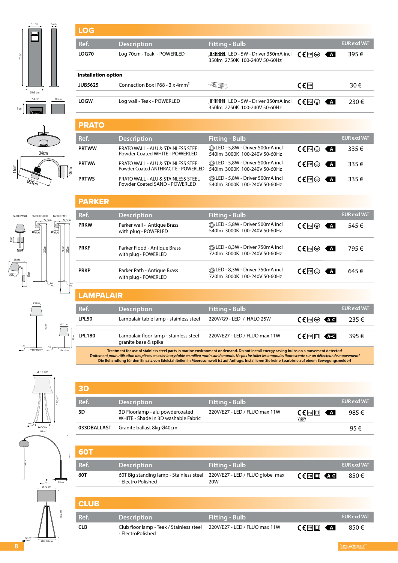

34cm

 $\widetilde{\mathscr{D}z_{5c_{m}}}$ 

16cm

#### LOG

PARKER

10cm

**PRKW** Parker wall - Antique Brass

**PRKF** Parker Flood - Antique Brass

**PRKP** Parker Path - Antique Brass

with plug - POWERLED

with plug - POWERLED

with plug - POWERLED

| Ref.                       | <b>Description</b>                                 | <b>Fitting - Bulb</b>                                                          |                                               | <b>EUR excl VAT</b> |
|----------------------------|----------------------------------------------------|--------------------------------------------------------------------------------|-----------------------------------------------|---------------------|
| LOG70                      | Log 70cm - Teak - POWERLED                         | <b>ININING LED - 5W - Driver 350mA incl</b><br>350lm 2750K 100-240V 50-60Hz    | $\mathsf{C}\mathsf{F}$ (FSI)<br>KA            | 395€                |
| <b>Installation option</b> |                                                    |                                                                                |                                               |                     |
| JUB5625                    | Connection Box IP68 - $3 \times 4$ mm <sup>2</sup> |                                                                                | $\epsilon$ $\epsilon$ $\epsilon$ $\epsilon$   | 30€                 |
| <b>LOGW</b>                | Log wall - Teak - POWERLED                         | <b>ININING LED - 5W - Driver 350mA incl</b><br>350 m 2750 K 100-240 V 50-60 Hz | $\mathsf{C}\mathsf{F}$ rss $\mathsf{F}$<br>KA | $230 \in$           |
|                            |                                                    |                                                                                |                                               |                     |

| <b>PRATO</b> |                                                                                      |                                                                |                                 |                     |
|--------------|--------------------------------------------------------------------------------------|----------------------------------------------------------------|---------------------------------|---------------------|
| Ref.         | <b>Description</b>                                                                   | <b>Fitting - Bulb</b>                                          |                                 | <b>EUR excl VAT</b> |
| <b>PRTWW</b> | <b>PRATO WALL - ALU &amp; STAINLESS STEEL</b><br>Powder Coated WHITE - POWERLED      | LED - 5,8W - Driver 500mA incl<br>540lm 3000K 100-240V 50-60Hz | $CE^{ms} \oplus \blacksquare$   | $335 \in$           |
| <b>PRTWA</b> | <b>PRATO WALL - ALU &amp; STAINLESS STEEL</b><br>Powder Coated ANTHRACITE - POWERLED | LED - 5,8W - Driver 500mA incl<br>540lm 3000K 100-240V 50-60Hz | $CF^{\text{BS}} \oplus \bullet$ | $335 \in$           |
| <b>PRTWS</b> | <b>PRATO WALL - ALU &amp; STAINLESS STEEL</b><br>Powder Coated SAND - POWERLED       | LED - 5,8W - Driver 500mA incl<br>540lm 3000K 100-240V 50-60Hz | $CF^{\text{ms}} \oplus \cdots$  | $335 \in$           |

**Ref. Description <b>EUR EUR EUR EUR EUR EUR EUR EUR EUR EUR EUR EUR EUR EUR EUR EUR EUR EUR** 

 LED - 5,8W - Driver 500mA incl 540lm 3000K 100-240V 50-60Hz

LED - 8,3W - Driver 750mA incl 720lm 3000K 100-240V 50-60Hz

 LED - 8,3W - Driver 750mA incl 720lm 3000K 100-240V 50-60Hz

**IP555 IP55** <del>**I**</del> 545 €

**IP55 A** 795 €

 $C \in \mathbb{F}$ 59 **A** 645 €







|    | Ø 50 cm           |                          |            |       |
|----|-------------------|--------------------------|------------|-------|
| 6m |                   | 180 cm<br>4 <sub>m</sub> | Ø 22 cm    | 48 cm |
|    | $50 \times 50$ cm |                          | 25 x 25 cm |       |







| LAMPALAIR    |                                                                 |                             |                            |                     |
|--------------|-----------------------------------------------------------------|-----------------------------|----------------------------|---------------------|
| Ref.         | <b>Description</b>                                              | Fitting - Bulb <sup> </sup> |                            | <b>EUR excl VAT</b> |
| <b>LPL50</b> | Lampalair table lamp - stainless steel 220V/G9 - LED / HALO 25W |                             | $CE^{ms} \oplus \text{AC}$ | 235€                |
| .            |                                                                 | .                           |                            |                     |

**LPL180** Lampalair floor lamp - stainless steel granite base & spike 220V/E27 - LED / FLUO max 11W **IPSE**  $\left( \begin{array}{cc} \in \mathbb{R} & \text{if } 395 \in \end{array} \right)$ Treatment for use of stainless steel parts in marine environment or demand. Do not install energy saving bulbs on a movement detector!<br>Traitement pour utilisation des pièces en acier inoxydable en milieu marin sur demande.

**Die Behandlung für den Einsatz von Edelstahlteilen in Meeresumwelt ist auf Anfrage. Installieren Sie keine Sparbirne auf einem Bewegungsmelder!**

| 3D          |                                                                        |                               |                                               |                     |
|-------------|------------------------------------------------------------------------|-------------------------------|-----------------------------------------------|---------------------|
| Ref.        | <b>Description</b>                                                     | <b>Fitting - Bulb</b>         |                                               | <b>EUR excl VAT</b> |
| 3D          | 3D Floorlamp - alu powdercoated<br>WHITE - Shade in 3D washable Fabric | 220V/E27 - LED / FLUO max 11W | $C \in \mathbb{P}^{rs}$ $\Box$<br>$\sqrt{30}$ | 985€                |
| 033DBALLAST | Granite ballast 8kg Ø40cm                                              |                               |                                               | 95€                 |

| <b>60T</b> |                                                                                               |                |                                 |                     |
|------------|-----------------------------------------------------------------------------------------------|----------------|---------------------------------|---------------------|
| Ref.       | <b>Description</b>                                                                            | Fitting - Bulb |                                 | <b>EUR excl VAT</b> |
| 60T        | 60T Big standing lamp - Stainless steel 220V/E27 - LED / FLUO globe max<br>- Electro Polished | 20W            | $CF^{\mathbb{R}}$ $\Box$ $\Box$ | 850€                |

| <b>CLUB</b> |                                                                                             |                       |                                       |                     |
|-------------|---------------------------------------------------------------------------------------------|-----------------------|---------------------------------------|---------------------|
| Ref.        | <b>Description</b>                                                                          | <b>Fitting - Bulb</b> |                                       | <b>EUR excl VAT</b> |
| CLB         | Club floor lamp - Teak / Stainless steel 220V/E27 - LED / FLUO max 11W<br>- ElectroPolished |                       | $C \in \mathbb{P}^{ss}$ $\Box$ $\Box$ | 850€                |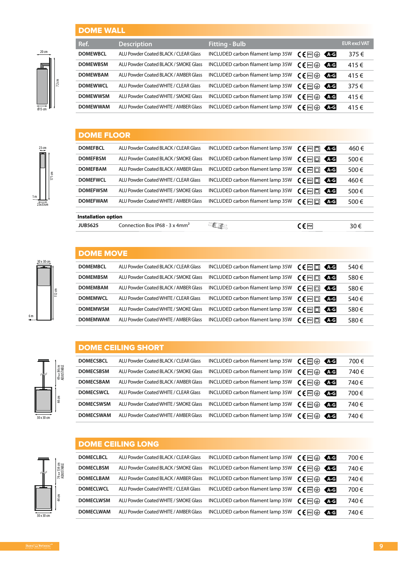#### DOME WALL



| ------------    |                                       |                                   |                                                                  |                     |
|-----------------|---------------------------------------|-----------------------------------|------------------------------------------------------------------|---------------------|
| Ref.            | <b>Description</b>                    | <b>Fitting - Bulb</b>             |                                                                  | <b>EUR excl VAT</b> |
| <b>DOMEWBCL</b> | ALU Powder Coated BLACK / CLEAR Glass | INCLUDED carbon filament lamp 35W | $\mathsf{C}\mathsf{F}$ $\mathsf{F}^{\mathsf{B}}$ $\oplus$<br>KAG | 375€                |
| <b>DOMEWBSM</b> | ALU Powder Coated BLACK / SMOKE Glass | INCLUDED carbon filament lamp 35W | $\mathsf{C}\mathsf{F}$ ip43<br><b>ALG</b>                        | 415€                |
| <b>DOMEWBAM</b> | ALU Powder Coated BLACK / AMBER Glass | INCLUDED carbon filament lamp 35W | KA G<br>$\in$ [P43] $\left(\leftarrow$ ]                         | 415€                |
| <b>DOMEWWCL</b> | ALU Powder Coated WHITE / CLEAR Glass | INCLUDED carbon filament lamp 35W | KA G<br>$\mathsf{C} \in \mathsf{P}^{43}(\oplus)$                 | 375€                |
| <b>DOMEWWSM</b> | ALU Powder Coated WHITE / SMOKE Glass | INCLUDED carbon filament lamp 35W | C € l¤9 ⊕<br>KAG                                                 | 415€                |
| <b>DOMEWWAM</b> | ALU Powder Coated WHITE / AMBER Glass | INCLUDED carbon filament lamp 35W | $\in \mathsf{F}$ [P43] $\left(\frac{11}{2}\right)$<br><b>ALG</b> | 415€                |
|                 |                                       |                                   |                                                                  |                     |

### DOME FLOOR

| <b>JUB5625</b>             | Connection Box IP68 - 3 x 4mm <sup>2</sup> |                                   | $C \in \mathbb{P}$ <sup>1P68</sup>         | 30€                |
|----------------------------|--------------------------------------------|-----------------------------------|--------------------------------------------|--------------------|
| <b>Installation option</b> |                                            |                                   |                                            |                    |
| <b>DOMEFWAM</b>            | ALU Powder Coated WHITE / AMBER Glass      | INCLUDED carbon filament lamp 35W | $C \in \mathbb{P}$ $\Box$                  | 500€<br><b>ALG</b> |
| <b>DOMEFWSM</b>            | ALU Powder Coated WHITE / SMOKE Glass      | INCLUDED carbon filament lamp 35W | $\subset \in$ [P43] $\Box$ ]               | 500€<br><b>ALG</b> |
| <b>DOMEFWCL</b>            | ALU Powder Coated WHITE / CLEAR Glass      | INCLUDED carbon filament lamp 35W | $C \in \mathbb{P}$ $\Box$                  | 460€<br>KA G       |
| <b>DOMEFBAM</b>            | ALU Powder Coated BLACK / AMBER Glass      | INCLUDED carbon filament lamp 35W | $\epsilon$ $\Box$                          | 500€<br><b>ALG</b> |
| <b>DOMEFBSM</b>            | ALU Powder Coated BLACK / SMOKE Glass      | INCLUDED carbon filament lamp 35W | $C \in \left[ \frac{P}{P} \cdot 3 \right]$ | 500€<br>KAG        |
| <b>DOMEFBCL</b>            | ALU Powder Coated BLACK / CLEAR Glass      | INCLUDED carbon filament lamp 35W | C ∈l™l⊡l                                   | 460€<br>KAG        |
|                            |                                            |                                   |                                            |                    |

### DOME MOVE

| <b>DOMEMBCL</b> | ALU Powder Coated BLACK / CLEAR Glass | INCLUDED carbon filament lamp 35W | $\zeta \in \mathbb{R}^{43}$<br>KA G                                                                                                                                                                                                                                                                                                                                                                                                   | 540€ |
|-----------------|---------------------------------------|-----------------------------------|---------------------------------------------------------------------------------------------------------------------------------------------------------------------------------------------------------------------------------------------------------------------------------------------------------------------------------------------------------------------------------------------------------------------------------------|------|
| <b>DOMEMBSM</b> | ALU Powder Coated BLACK / SMOKE Glass | INCLUDED carbon filament lamp 35W | $\epsilon$ [P43 $\Box$ ]<br>KAG                                                                                                                                                                                                                                                                                                                                                                                                       | 580€ |
| <b>DOMEMBAM</b> | ALU Powder Coated BLACK / AMBER Glass | INCLUDED carbon filament lamp 35W | $\epsilon$ ( $\epsilon$ $\epsilon$ $\epsilon$ $\epsilon$ $\epsilon$<br>KAG                                                                                                                                                                                                                                                                                                                                                            | 580€ |
| <b>DOMEMWCL</b> | ALU Powder Coated WHITE / CLEAR Glass | INCLUDED carbon filament lamp 35W | $\zeta \in \mathbb{R}^{3}$<br>KAG                                                                                                                                                                                                                                                                                                                                                                                                     | 540€ |
| <b>DOMEMWSM</b> | ALU Powder Coated WHITE / SMOKE Glass | INCLUDED carbon filament lamp 35W | $C \in \mathbb{P}$ <sup>1943</sup> $\Box$<br>KA G                                                                                                                                                                                                                                                                                                                                                                                     | 580€ |
| <b>DOMEMWAM</b> | ALU Powder Coated WHITE / AMBER Glass | INCLUDED carbon filament lamp 35W | $\epsilon$   $\epsilon$   $\epsilon$   $\epsilon$   $\epsilon$   $\epsilon$   $\epsilon$   $\epsilon$   $\epsilon$   $\epsilon$   $\epsilon$   $\epsilon$   $\epsilon$   $\epsilon$   $\epsilon$   $\epsilon$   $\epsilon$   $\epsilon$   $\epsilon$   $\epsilon$   $\epsilon$   $\epsilon$   $\epsilon$   $\epsilon$   $\epsilon$   $\epsilon$   $\epsilon$   $\epsilon$   $\epsilon$   $\epsilon$   $\epsilon$   $\epsilon$<br>KA G | 580€ |

#### DOME CEILING SHORT

| <b>DOMECSBCL</b> | ALU Powder Coated BLACK / CLEAR Glass | INCLUDED carbon filament lamp 35W | $\mathsf{CE}$ ip43<br>KA-G                                                     | 700€ |
|------------------|---------------------------------------|-----------------------------------|--------------------------------------------------------------------------------|------|
| <b>DOMECSBSM</b> | ALU Powder Coated BLACK / SMOKE Glass | INCLUDED carbon filament lamp 35W | $\zeta \in \mathbb{R}$ $\oplus$<br>KA G                                        | 740€ |
| <b>DOMECSBAM</b> | ALU Powder Coated BLACK / AMBER Glass | INCLUDED carbon filament lamp 35W | $\zeta \in \mathbb{R}$ $\oplus$<br>KAG                                         | 740€ |
| <b>DOMECSWCL</b> | ALU Powder Coated WHITE / CLEAR Glass | INCLUDED carbon filament lamp 35W | KA G                                                                           | 700€ |
| <b>DOMECSWSM</b> | ALU Powder Coated WHITE / SMOKE Glass | INCLUDED carbon filament lamp 35W | $\zeta \in \mathbb{F}$ $\oplus$<br>KAG                                         | 740€ |
| <b>DOMECSWAM</b> | ALU Powder Coated WHITE / AMBER Glass | INCLUDED carbon filament lamp 35W | <b>AG</b><br>rε<br>$\left  \mathbb{P}^{43} \right  \left( \frac{1}{2} \right)$ | 740€ |

|            |                           |                  | <b>DOME CEILING LONG</b>              |                                   |                                     |      |
|------------|---------------------------|------------------|---------------------------------------|-----------------------------------|-------------------------------------|------|
|            |                           | <b>DOMECLBCL</b> | ALU Powder Coated BLACK / CLEAR Glass | INCLUDED carbon filament lamp 35W | $CE^{m} \oplus \mathbf{CC}$         | 700€ |
|            | 74 ↔ 134 cm<br>ADJUSTABLE | <b>DOMECLBSM</b> | ALU Powder Coated BLACK / SMOKE Glass | INCLUDED carbon filament lamp 35W | $CE^{p_4} \oplus \overline{AC}$     | 740€ |
|            |                           | <b>DOMECLBAM</b> | ALU Powder Coated BLACK / AMBER Glass | INCLUDED carbon filament lamp 35W | $CE^{m} \oplus \text{CC}$           | 740€ |
|            |                           | <b>DOMECLWCL</b> | ALU Powder Coated WHITE / CLEAR Glass | INCLUDED carbon filament lamp 35W | $CE^{\mathbb{R}} \oplus \text{AC}$  | 700€ |
|            | 44 cm                     | <b>DOMECLWSM</b> | ALU Powder Coated WHITE / SMOKE Glass | INCLUDED carbon filament lamp 35W | $\mathsf{CE}$ ipas $\oplus$<br>KA G | 740€ |
| 30 x 30 cm |                           | <b>DOMECLWAM</b> | ALU Powder Coated WHITE / AMBER Glass | INCLUDED carbon filament lamp 35W | $CE$ $P43$<br><b>AG</b><br>⇔        | 740€ |

30 x 30 cm

 $\frac{12}{2}$  cm

 $23x33$ 

1 m

 $6m$ 

 $23 \text{ cm}$ 

171 cm

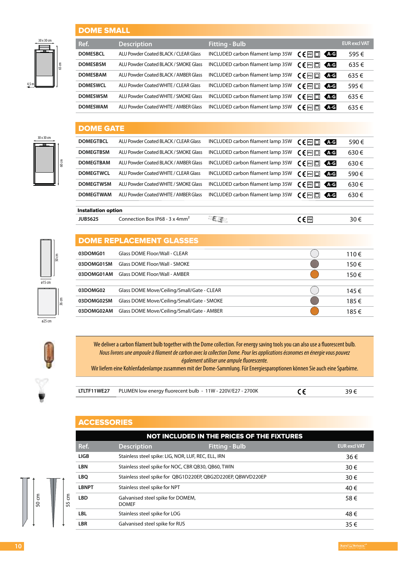#### DOME SMALL

|       | 30 x 30 cm |                 |
|-------|------------|-----------------|
|       |            |                 |
|       |            |                 |
|       |            |                 |
|       |            | $65 \text{ cm}$ |
|       |            |                 |
|       |            |                 |
| 4,5 m |            |                 |
|       |            |                 |

30 x 30 cm

60 cm

| DUINE JINALL               |                                                    |                                   |                                               |                     |
|----------------------------|----------------------------------------------------|-----------------------------------|-----------------------------------------------|---------------------|
| Ref.                       | <b>Description</b>                                 | <b>Fitting - Bulb</b>             |                                               | <b>EUR excl VAT</b> |
| <b>DOMESBCL</b>            | ALU Powder Coated BLACK / CLEAR Glass              | INCLUDED carbon filament lamp 35W | <b>AG</b><br>$C \in \mathbb{P}^{43}$          | 595€                |
| <b>DOMESBSM</b>            | ALU Powder Coated BLACK / SMOKE Glass              | INCLUDED carbon filament lamp 35W | $C \in \mathbb{P}^3$<br><b>ALG</b>            | 635€                |
| <b>DOMESBAM</b>            | ALU Powder Coated BLACK / AMBER Glass              | INCLUDED carbon filament lamp 35W | 不可<br>C∈⊠□                                    | 635€                |
| <b>DOMESWCL</b>            | ALU Powder Coated WHITE / CLEAR Glass              | INCLUDED carbon filament lamp 35W | <b>ALG</b><br>$C \in \mathbb{P}^{43}$         | 595€                |
| <b>DOMESWSM</b>            | ALU Powder Coated WHITE / SMOKE Glass              | INCLUDED carbon filament lamp 35W | $C \in \mathbb{P}^3$<br><b>AG</b>             | 635€                |
| <b>DOMESWAM</b>            | ALU Powder Coated WHITE / AMBER Glass              | INCLUDED carbon filament lamp 35W | $C \in \mathbb{P}$ 43 $\Box$<br><b>AG</b>     | 635€                |
| <b>DOME GATE</b>           |                                                    |                                   |                                               |                     |
| <b>DOMEGTBCL</b>           | ALU Powder Coated BLACK / CLEAR Glass              | INCLUDED carbon filament lamp 35W | $C \in \mathbb{P}^{43}$<br><b>AG</b>          | 590€                |
| <b>DOMEGTBSM</b>           | ALU Powder Coated BLACK / SMOKE Glass              | INCLUDED carbon filament lamp 35W | 不可<br>C∈⊠□                                    | 630€                |
| <b>DOMEGTBAM</b>           | ALU Powder Coated BLACK / AMBER Glass              | INCLUDED carbon filament lamp 35W | $C \in \mathbb{P}^{43}$<br><b>AG</b>          | 630€                |
| <b>DOMEGTWCL</b>           | ALU Powder Coated WHITE / CLEAR Glass              | INCLUDED carbon filament lamp 35W | $C \in \mathbb{P}$ 43 $\Box$<br><b>ATG</b>    | 590€                |
| <b>DOMEGTWSM</b>           | ALU Powder Coated WHITE / SMOKE Glass              | INCLUDED carbon filament lamp 35W | <b>AG</b><br>$C \in \mathbb{P}$ 43 $\square$  | 630€                |
| <b>DOMEGTWAM</b>           | ALU Powder Coated WHITE / AMBER Glass              | INCLUDED carbon filament lamp 35W | $C \in \mathbb{P}$ 43 $\square$<br><b>ALG</b> | 630€                |
| <b>Installation option</b> |                                                    |                                   |                                               |                     |
| <b>JUB5625</b>             | Connection Box IP68 - $3 \times 4$ mm <sup>2</sup> | <b>ELE</b>                        | $C \in \mathbb{P}$ 68                         | 30€                 |
|                            | <b>DOME REPLACEMENT GLASSES</b>                    |                                   |                                               |                     |
| 03DOMG01                   | <b>Glass DOME Floor/Wall - CLEAR</b>               |                                   |                                               | 110€                |
| 03DOMG01SM                 | <b>Glass DOME Floor/Wall - SMOKE</b>               |                                   |                                               | 150€                |
| 03DOMG01AM                 | <b>Glass DOME Floor/Wall - AMBER</b>               |                                   |                                               | 150€                |
| 03DOMG02                   | Glass DOME Move/Ceiling/Small/Gate - CLEAR         |                                   |                                               | 145€                |
| 03DOMG02SM                 | Glass DOME Move/Ceiling/Small/Gate - SMOKE         |                                   |                                               | 185€                |

 $\overline{\bullet}$  015 cm  $rac{36 \text{ cm}}{ }$ 

50 cm

 $\overline{\omega_2}$ 



Ŷ

| We deliver a carbon filament bulb together with the Dome collection. For energy saving tools you can also use a fluorescent bulb.<br>Nous livrons une ampoule à filament de carbon avec la collection Dome. Pour les applications économes en énergie vous pouvez |
|-------------------------------------------------------------------------------------------------------------------------------------------------------------------------------------------------------------------------------------------------------------------|
| également utiliser une ampule fluorescente.                                                                                                                                                                                                                       |
| Wir liefern eine Kohlenfadenlampe zusammen mit der Dome-Sammlung. Für Energiesparoptionen können Sie auch eine Sparbirne.                                                                                                                                         |
|                                                                                                                                                                                                                                                                   |

**03DOMG02AM** Glass DOME Move/Ceiling/Small/Gate - AMBER 185 €

| LTLTF11WE27 PLUMEN low energy fluorecent bulb - 11W - 220V/E27 - 2700K |  |
|------------------------------------------------------------------------|--|

#### **ACCESSORIES**

|                  | NOT INCLUDED IN THE PRICES OF THE FIXTURES |                                                              |                       |                     |  |  |  |  |  |
|------------------|--------------------------------------------|--------------------------------------------------------------|-----------------------|---------------------|--|--|--|--|--|
|                  | Ref.                                       | <b>Description</b>                                           | <b>Fitting - Bulb</b> | <b>EUR excl VAT</b> |  |  |  |  |  |
| $\epsilon$<br>55 | <b>LIGB</b>                                | Stainless steel spike: LIG, NOR, LUF, REC, ELL, IRN          |                       | 36€                 |  |  |  |  |  |
|                  | <b>LBN</b>                                 | Stainless steel spike for NOC, CBR QB30, QB60, TWIN          |                       | 30€                 |  |  |  |  |  |
|                  | <b>LBQ</b>                                 | Stainless steel spike for QBG1D220EP, QBG2D220EP, QBWVD220EP |                       | 30€                 |  |  |  |  |  |
|                  | <b>LBNPT</b>                               | Stainless steel spike for NPT                                |                       | 40€                 |  |  |  |  |  |
|                  | <b>LBD</b>                                 | Galvanised steel spike for DOMEM,<br><b>DOMEF</b>            |                       | 58€                 |  |  |  |  |  |
|                  | <b>LBL</b>                                 | Stainless steel spike for LOG                                |                       | 48€                 |  |  |  |  |  |
|                  | <b>LBR</b>                                 | Galvanised steel spike for RUS                               |                       | 35€                 |  |  |  |  |  |



 $\overline{\mathbb{I}}$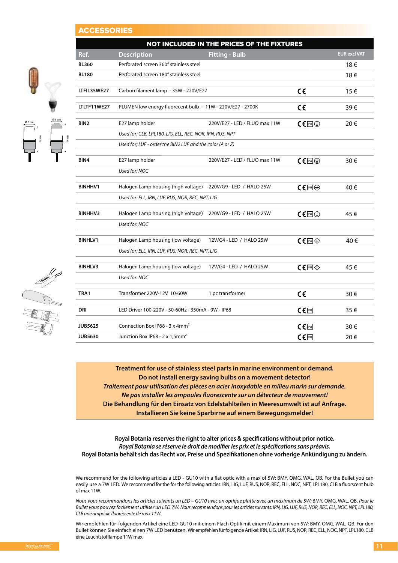#### **CCESSORIES**

 $\frac{\emptyset6cm}{2}$ 

12 cm

|       |                                                          |                                                              | NOT INCLUDED IN THE PRICES OF THE FIXTURES |                                  |                     |
|-------|----------------------------------------------------------|--------------------------------------------------------------|--------------------------------------------|----------------------------------|---------------------|
|       | Ref.                                                     | <b>Description</b>                                           | <b>Fitting - Bulb</b>                      |                                  | <b>EUR excl VAT</b> |
|       | Perforated screen 360° stainless steel<br><b>BL360</b>   |                                                              |                                            |                                  | 18€                 |
|       | <b>BL180</b>                                             | Perforated screen 180° stainless steel                       |                                            |                                  | 18€                 |
|       | LTFIL35WE27                                              | Carbon filament lamp - 35W - 220V/E27                        |                                            | $\epsilon$                       | 15€                 |
|       | LTLTF11WE27                                              | PLUMEN low energy fluorecent bulb - 11W - 220V/E27 - 2700K   |                                            | $\epsilon$                       | 39€                 |
|       | BIN <sub>2</sub>                                         | E27 lamp holder                                              | 220V/E27 - LED / FLUO max 11W              | $C \in \mathbb{R}$               | 20€                 |
| 14 cm |                                                          | Used for: CLB, LPL180, LIG, ELL, REC, NOR, IRN, RUS, NPT     |                                            |                                  |                     |
|       |                                                          | Used for; LUF - order the BIN2 LUF and the color (A or Z)    |                                            |                                  |                     |
|       | BIN4                                                     | E27 lamp holder                                              | 220V/E27 - LED / FLUO max 11W              | $C \in \mathbb{P}$ $\oplus$      | 30€                 |
|       |                                                          | Used for: NOC                                                |                                            |                                  |                     |
|       | <b>BINHHV1</b>                                           | Halogen Lamp housing (high voltage) 220V/G9 - LED / HALO 25W |                                            | $C \in \mathbb{P}$ $\oplus$      | 40€                 |
|       |                                                          | Used for: ELL, IRN, LUF, RUS, NOR, REC, NPT, LIG             |                                            |                                  |                     |
|       | <b>BINHHV3</b>                                           | Halogen Lamp housing (high voltage) 220V/G9 - LED / HALO 25W |                                            | $CE^{ms}$                        | 45€                 |
|       |                                                          | Used for: NOC                                                |                                            |                                  |                     |
|       | <b>BINHLV1</b>                                           | Halogen Lamp housing (low voltage)                           | 12V/G4 - LED / HALO 25W                    | $CE^{pss}$                       | 40€                 |
|       |                                                          | Used for: ELL, IRN, LUF, RUS, NOR, REC, NPT, LIG             |                                            |                                  |                     |
|       | <b>BINHLV3</b>                                           | Halogen Lamp housing (low voltage)                           | 12V/G4 - LED / HALO 25W                    | $C \in \mathbb{P}$ and $\otimes$ | 45€                 |
|       |                                                          | Used for: NOC                                                |                                            |                                  |                     |
|       | TRA1                                                     | Transformer 220V-12V 10-60W                                  | 1 pc transformer                           | $\epsilon$                       | 30€                 |
|       | DRI<br>LED Driver 100-220V - 50-60Hz - 350mA - 9W - IP68 |                                                              |                                            | $C \in \mathbb{P}$ 68            | 35€                 |
|       | <b>JUB5625</b>                                           | Connection Box IP68 - 3 x 4mm <sup>2</sup>                   |                                            | $C \in \mathbb{P}$ <sup>68</sup> | 30€                 |
|       | <b>JUB5630</b>                                           | Junction Box IP68 - 2 x 1,5mm <sup>2</sup>                   |                                            | $C \in \mathbb{P}$ 68            | 20€                 |

**Treatment for use of stainless steel parts in marine environment or demand. Do not install energy saving bulbs on a movement detector! Traitement pour utilisation des pièces en acier inoxydable en milieu marin sur demande. Ne pas installer les ampoules fluorescente sur un détecteur de mouvement! Die Behandlung für den Einsatz von Edelstahlteilen in Meeresumwelt ist auf Anfrage. Installieren Sie keine Sparbirne auf einem Bewegungsmelder!**

**Royal Botania reserves the right to alter prices & specifications without prior notice. Royal Botania se réserve le droit de modifier les prix et le spécifications sans préavis. Royal Botania behält sich das Recht vor, Preise und Spezifikationen ohne vorherige Ankündigung zu ändern.**

We recommend for the following articles a LED - GU10 with a flat optic with a max of 5W: BMY, OMG, WAL, QB. For the Bullet you can easily use a 7W LED. We recommend for the for the following articles: IRN, LIG, LUF, RUS, NOR, REC, ELL, NOC, NPT, LPL180, CLB a fluorscent bulb of max 11W.

Nous vous recommandons les articles suivants un LED – GU10 avec un optique platte avec un maximum de 5W: BMY, OMG, WAL, QB. Pour le Bullet vous pouvez facilement utiliser un LED 7W. Nous recommendons pour les articles suivants: IRN, LIG, LUF, RUS, NOR, REC, ELL, NOC, NPT, LPL180, CLB une ampoule fluorescente de max 11W.

Wir empfehlen für folgenden Artikel eine LED-GU10 mit einem Flach Optik mit einem Maximum von 5W: BMY, OMG, WAL, QB. Für den Bullet können Sie einfach einen 7W LED benützen. Wir empfehlen für folgende Artikel: IRN, LIG, LUF, RUS, NOR, REC, ELL, NOC, NPT, LPL180, CLB eine Leuchtstofflampe 11W max.